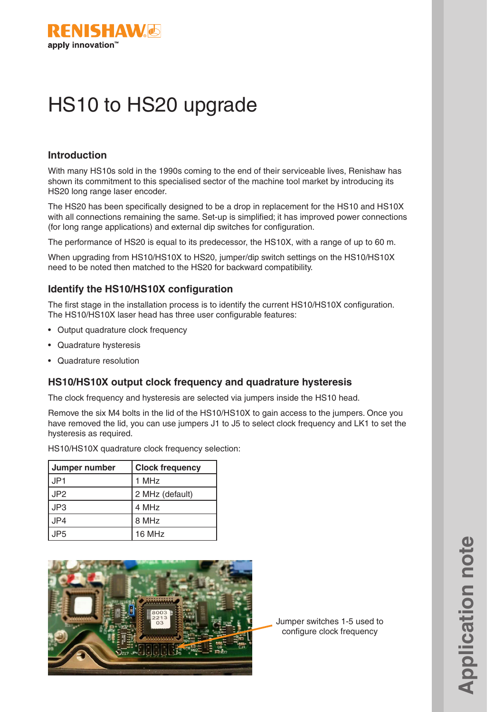

# HS10 to HS20 upgrade

## **Introduction**

With many HS10s sold in the 1990s coming to the end of their serviceable lives, Renishaw has shown its commitment to this specialised sector of the machine tool market by introducing its HS20 long range laser encoder.

The HS20 has been specifically designed to be a drop in replacement for the HS10 and HS10X with all connections remaining the same. Set-up is simplified; it has improved power connections (for long range applications) and external dip switches for configuration.

The performance of HS20 is equal to its predecessor, the HS10X, with a range of up to 60 m.

When upgrading from HS10/HS10X to HS20, jumper/dip switch settings on the HS10/HS10X need to be noted then matched to the HS20 for backward compatibility.

## **Identify the HS10/HS10X configuration**

The first stage in the installation process is to identify the current HS10/HS10X configuration. The HS10/HS10X laser head has three user configurable features:

- Output quadrature clock frequency
- Quadrature hysteresis
- Quadrature resolution

#### **HS10/HS10X output clock frequency and quadrature hysteresis**

The clock frequency and hysteresis are selected via jumpers inside the HS10 head.

Remove the six M4 bolts in the lid of the HS10/HS10X to gain access to the jumpers. Once you have removed the lid, you can use jumpers J1 to J5 to select clock frequency and LK1 to set the hysteresis as required.

HS10/HS10X quadrature clock frequency selection:

| Jumper number   | <b>Clock frequency</b> |  |  |
|-----------------|------------------------|--|--|
| JP <sub>1</sub> | 1 MH <sub>z</sub>      |  |  |
| JP <sub>2</sub> | 2 MHz (default)        |  |  |
| JP3             | 4 MHz                  |  |  |
| JP4             | 8 MHz                  |  |  |
| JP <sub>5</sub> | 16 MHz                 |  |  |



Jumper switches 1-5 used to configure clock frequency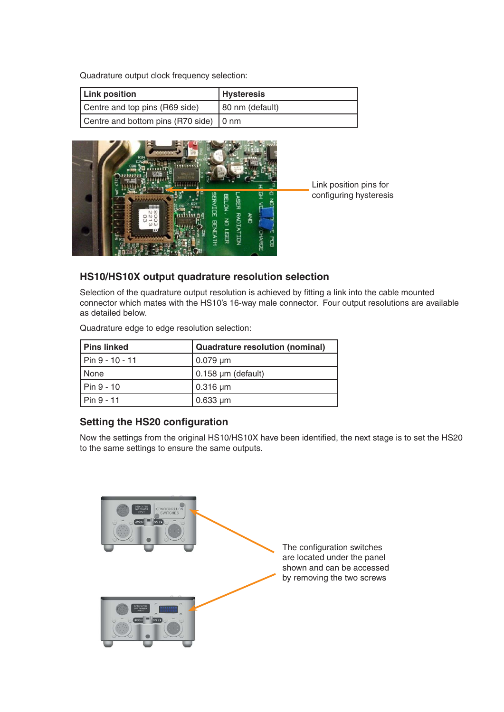Quadrature output clock frequency selection:

| Link position                          | <b>Hysteresis</b> |  |  |
|----------------------------------------|-------------------|--|--|
| Centre and top pins (R69 side)         | 80 nm (default)   |  |  |
| Centre and bottom pins (R70 side) 0 nm |                   |  |  |



Link position pins for configuring hysteresis

## **HS10/HS10X output quadrature resolution selection**

Selection of the quadrature output resolution is achieved by fitting a link into the cable mounted connector which mates with the HS10's 16-way male connector. Four output resolutions are available as detailed below.

Quadrature edge to edge resolution selection:

| Pins linked     | <b>Quadrature resolution (nominal)</b> |  |  |
|-----------------|----------------------------------------|--|--|
| Pin 9 - 10 - 11 | $0.079 \mu m$                          |  |  |
| None            | $\vert$ 0.158 µm (default)             |  |  |
| I Pin 9 - 10    | $\vert$ 0.316 $\mu$ m                  |  |  |
| Pin 9 - 11      | $0.633 \mu m$                          |  |  |

# **Setting the HS20 configuration**

Now the settings from the original HS10/HS10X have been identified, the next stage is to set the HS20 to the same settings to ensure the same outputs.

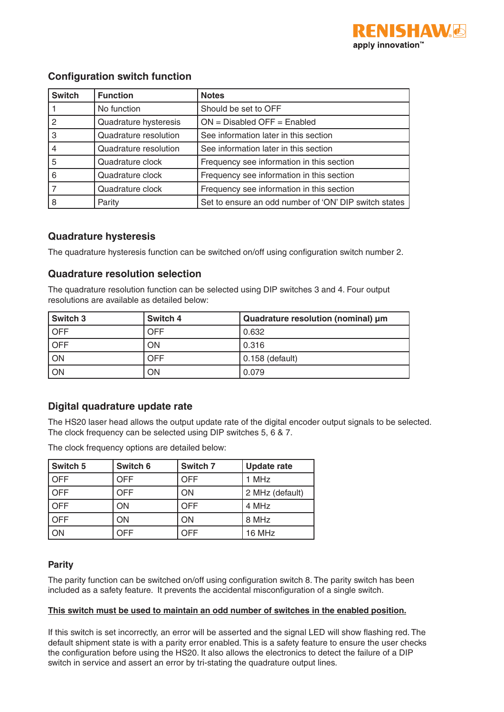

# **Configuration switch function**

| <b>Switch</b> | <b>Function</b>       | <b>Notes</b>                                          |
|---------------|-----------------------|-------------------------------------------------------|
|               | No function           | Should be set to OFF                                  |
| 2             | Quadrature hysteresis | $ON = Disabeled OFF = Enabeled$                       |
| 3             | Quadrature resolution | See information later in this section                 |
|               | Quadrature resolution | See information later in this section                 |
| 5             | Quadrature clock      | Frequency see information in this section             |
| 6             | Quadrature clock      | Frequency see information in this section             |
|               | Quadrature clock      | Frequency see information in this section             |
| 8             | Parity                | Set to ensure an odd number of 'ON' DIP switch states |

## **Quadrature hysteresis**

The quadrature hysteresis function can be switched on/off using configuration switch number 2.

## **Quadrature resolution selection**

The quadrature resolution function can be selected using DIP switches 3 and 4. Four output resolutions are available as detailed below:

| <b>Switch 3</b> | Switch 4 | Quadrature resolution (nominal) µm |  |  |
|-----------------|----------|------------------------------------|--|--|
| <b>OFF</b>      | OFF      | 0.632                              |  |  |
| <b>OFF</b>      | ON       | 0.316                              |  |  |
| ON              | OFF      | 0.158 (default)                    |  |  |
| ON              | OΝ       | 0.079                              |  |  |

# **Digital quadrature update rate**

The HS20 laser head allows the output update rate of the digital encoder output signals to be selected. The clock frequency can be selected using DIP switches 5, 6 & 7.

| Switch 5   | Switch 6   | Switch 7   | <b>Update rate</b> |  |
|------------|------------|------------|--------------------|--|
| <b>OFF</b> | <b>OFF</b> | <b>OFF</b> | 1 MHz              |  |
| <b>OFF</b> | <b>OFF</b> | ON         | 2 MHz (default)    |  |
| <b>OFF</b> | ΟN         |            | 4 MHz              |  |
| <b>OFF</b> | ΟN         | ON         | 8 MHz              |  |
| ON         | OFF        | <b>OFF</b> | 16 MHz             |  |

The clock frequency options are detailed below:

#### **Parity**

The parity function can be switched on/off using configuration switch 8. The parity switch has been included as a safety feature. It prevents the accidental misconfiguration of a single switch.

#### **This switch must be used to maintain an odd number of switches in the enabled position.**

If this switch is set incorrectly, an error will be asserted and the signal LED will show flashing red. The default shipment state is with a parity error enabled. This is a safety feature to ensure the user checks the configuration before using the HS20. It also allows the electronics to detect the failure of a DIP switch in service and assert an error by tri-stating the quadrature output lines.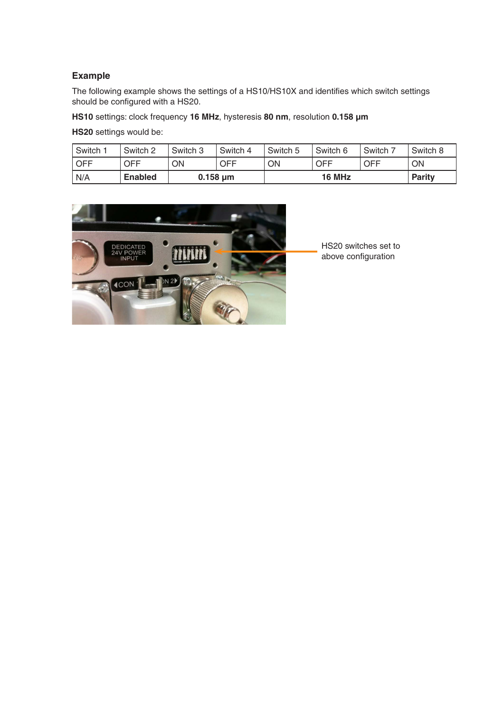#### **Example**

The following example shows the settings of a HS10/HS10X and identifies which switch settings should be configured with a HS20.

**HS10** settings: clock frequency **16 MHz**, hysteresis **80 nm**, resolution **0.158 µm**

**HS20** settings would be:

| Switch <sup>:</sup> | Switch 2       | Switch 3      | Switch 4 | Switch 5 | Switch 6 | Switch 7   | Switch 8      |
|---------------------|----------------|---------------|----------|----------|----------|------------|---------------|
| OFF                 | OFF            | ΟN            | OFF      | ON       | OFF      | <b>OFF</b> | <b>ON</b>     |
| N/A                 | <b>Enabled</b> | $0.158 \mu m$ |          | 16 MHz   |          |            | <b>Parity</b> |



HS20 switches set to above configuration